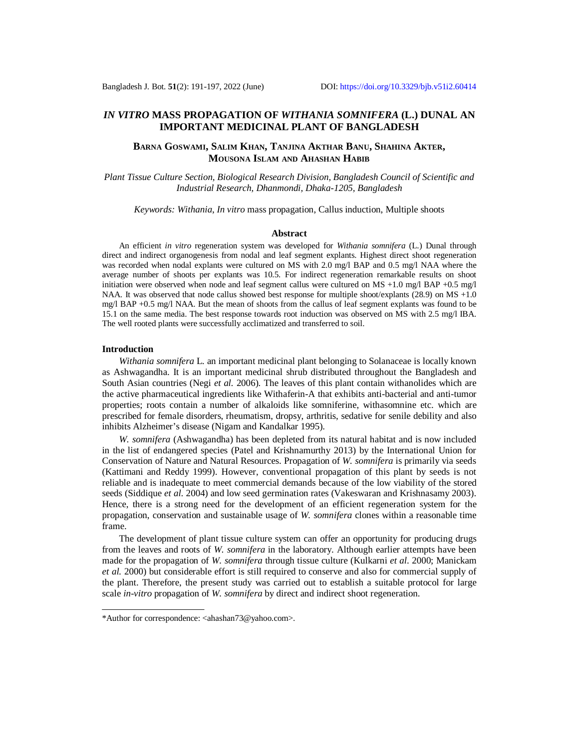# *IN VITRO* **MASS PROPAGATION OF** *WITHANIA SOMNIFERA* **(L.) DUNAL AN IMPORTANT MEDICINAL PLANT OF BANGLADESH**

# **BARNA GOSWAMI, SALIM KHAN, TANJINA AKTHAR BANU, SHAHINA AKTER, MOUSONA ISLAM AND AHASHAN HABIB**

*Plant Tissue Culture Section, Biological Research Division, Bangladesh Council of Scientific and Industrial Research, Dhanmondi, Dhaka-1205, Bangladesh*

*Keywords: Withania*, *In vitro* mass propagation, Callus induction, Multiple shoots

#### **Abstract**

An efficient *in vitro* regeneration system was developed for *Withania somnifera* (L.) Dunal through direct and indirect organogenesis from nodal and leaf segment explants. Highest direct shoot regeneration was recorded when nodal explants were cultured on MS with 2.0 mg/l BAP and 0.5 mg/l NAA where the average number of shoots per explants was 10.5. For indirect regeneration remarkable results on shoot initiation were observed when node and leaf segment callus were cultured on  $MS +1.0$  mg/l  $BAP +0.5$  mg/l NAA. It was observed that node callus showed best response for multiple shoot/explants (28.9) on MS +1.0 mg/l BAP +0.5 mg/l NAA. But the mean of shoots from the callus of leaf segment explants was found to be 15.1 on the same media. The best response towards root induction was observed on MS with 2.5 mg/l IBA. The well rooted plants were successfully acclimatized and transferred to soil.

## **Introduction**

*Withania somnifera* L*.* an important medicinal plant belonging to Solanaceae is locally known as Ashwagandha. It is an important medicinal shrub distributed throughout the Bangladesh and South Asian countries (Negi *et al.* 2006). The leaves of this plant contain withanolides which are the active pharmaceutical ingredients like Withaferin-A that exhibits anti-bacterial and anti-tumor properties; roots contain a number of alkaloids like somniferine, withasomnine etc. which are prescribed for female disorders, rheumatism, dropsy, arthritis, sedative for senile debility and also inhibits Alzheimer's disease (Nigam and Kandalkar 1995).

*W. somnifera* (Ashwagandha) has been depleted from its natural habitat and is now included in the list of endangered species (Patel and Krishnamurthy 2013) by the International Union for Conservation of Nature and Natural Resources. Propagation of *W. somnifera* is primarily via seeds (Kattimani and Reddy 1999). However, conventional propagation of this plant by seeds is not reliable and is inadequate to meet commercial demands because of the low viability of the stored seeds (Siddique *et al*. 2004) and low seed germination rates (Vakeswaran and Krishnasamy 2003). Hence, there is a strong need for the development of an efficient regeneration system for the propagation, conservation and sustainable usage of *W. somnifera* clones within a reasonable time frame.

The development of plant tissue culture system can offer an opportunity for producing drugs from the leaves and roots of *W. somnifera* in the laboratory. Although earlier attempts have been made for the propagation of *W. somnifera* through tissue culture (Kulkarni *et al*. 2000; Manickam *et al.* 2000) but considerable effort is still required to conserve and also for commercial supply of the plant. Therefore, the present study was carried out to establish a suitable protocol for large scale *in-vitro* propagation of *W. somnifera* by direct and indirect shoot regeneration.

<sup>\*</sup>Author for correspondence: [<ahashan73@yahoo.com>](mailto:ahashan73@yahoo.com).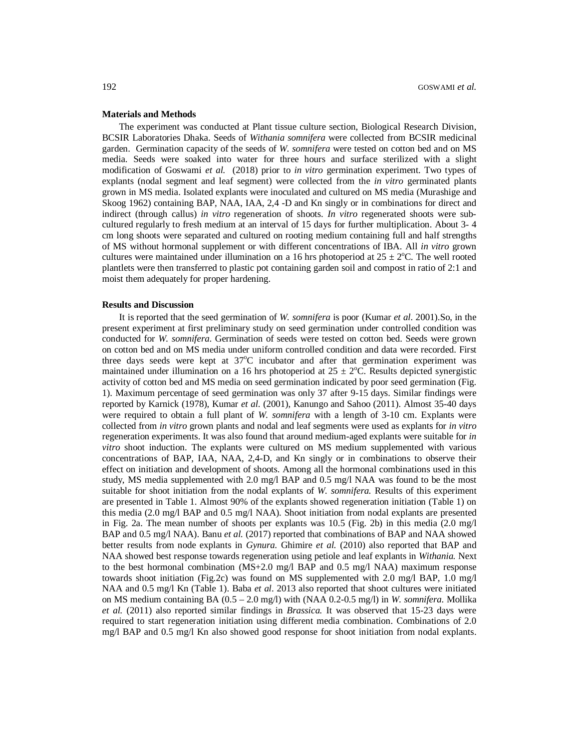#### **Materials and Methods**

The experiment was conducted at Plant tissue culture section, Biological Research Division, BCSIR Laboratories Dhaka. Seeds of *Withania somnifera* were collected from BCSIR medicinal garden. Germination capacity of the seeds of *W. somnifera* were tested on cotton bed and on MS media. Seeds were soaked into water for three hours and surface sterilized with a slight modification of Goswami *et al.* (2018) prior to *in vitro* germination experiment. Two types of explants (nodal segment and leaf segment) were collected from the *in vitro* germinated plants grown in MS media. Isolated explants were inoculated and cultured on MS media (Murashige and Skoog 1962) containing BAP, NAA, IAA, 2,4 -D and Kn singly or in combinations for direct and indirect (through callus) *in vitro* regeneration of shoots. *In vitro* regenerated shoots were subcultured regularly to fresh medium at an interval of 15 days for further multiplication. About 3‐ 4 cm long shoots were separated and cultured on rooting medium containing full and half strengths of MS without hormonal supplement or with different concentrations of IBA. All *in vitro* grown cultures were maintained under illumination on a 16 hrs photoperiod at  $25 \pm 2$ °C. The well rooted plantlets were then transferred to plastic pot containing garden soil and compost in ratio of 2:1 and moist them adequately for proper hardening.

## **Results and Discussion**

It is reported that the seed germination of *W. somnifera* is poor (Kumar *et al*. 2001).So, in the present experiment at first preliminary study on seed germination under controlled condition was conducted for *W. somnifera*. Germination of seeds were tested on cotton bed. Seeds were grown on cotton bed and on MS media under uniform controlled condition and data were recorded. First three days seeds were kept at  $37^{\circ}$ C incubator and after that germination experiment was maintained under illumination on a 16 hrs photoperiod at  $25 \pm 2$ °C. Results depicted synergistic activity of cotton bed and MS media on seed germination indicated by poor seed germination (Fig. 1). Maximum percentage of seed germination was only 37 after 9-15 days. Similar findings were reported by Karnick (1978), Kumar *et al*. (2001), Kanungo and Sahoo (2011). Almost 35-40 days were required to obtain a full plant of *W. somnifera* with a length of 3-10 cm. Explants were collected from *in vitro* grown plants and nodal and leaf segments were used as explants for *in vitro* regeneration experiments. It was also found that around medium-aged explants were suitable for *in vitro* shoot induction. The explants were cultured on MS medium supplemented with various concentrations of BAP, IAA, NAA, 2,4-D, and Kn singly or in combinations to observe their effect on initiation and development of shoots. Among all the hormonal combinations used in this study, MS media supplemented with 2.0 mg/l BAP and 0.5 mg/l NAA was found to be the most suitable for shoot initiation from the nodal explants of *W. somnifera.* Results of this experiment are presented in Table 1. Almost 90% of the explants showed regeneration initiation (Table 1) on this media (2.0 mg/l BAP and 0.5 mg/l NAA). Shoot initiation from nodal explants are presented in Fig. 2a. The mean number of shoots per explants was 10.5 (Fig. 2b) in this media (2.0 mg/l BAP and 0.5 mg/l NAA). Banu *et al.* (2017) reported that combinations of BAP and NAA showed better results from node explants in *Gynura.* Ghimire *et al.* (2010) also reported that BAP and NAA showed best response towards regeneration using petiole and leaf explants in *Withania.* Next to the best hormonal combination (MS+2.0 mg/l BAP and 0.5 mg/l NAA) maximum response towards shoot initiation (Fig.2c) was found on MS supplemented with 2.0 mg/l BAP, 1.0 mg/l NAA and 0.5 mg/l Kn (Table 1). Baba *et al*. 2013 also reported that shoot cultures were initiated on MS medium containing BA (0.5 – 2.0 mg/l) with (NAA 0.2-0.5 mg/l) in *W. somnifera.* Mollika *et al.* (2011) also reported similar findings in *Brassica.* It was observed that 15-23 days were required to start regeneration initiation using different media combination. Combinations of 2.0 mg/l BAP and 0.5 mg/l Kn also showed good response for shoot initiation from nodal explants.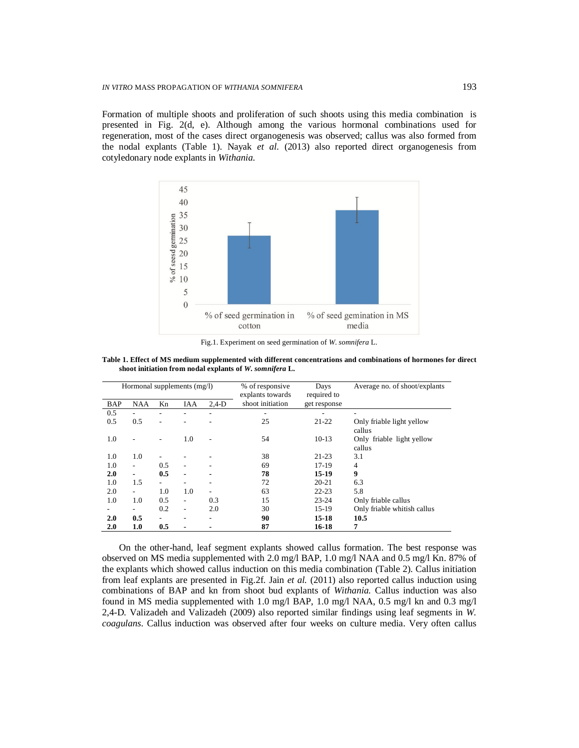Formation of multiple shoots and proliferation of such shoots using this media combination is presented in Fig. 2(d, e). Although among the various hormonal combinations used for regeneration, most of the cases direct organogenesis was observed; callus was also formed from the nodal explants (Table 1). Nayak *et al.* (2013) also reported direct organogenesis from cotyledonary node explants in *Withania.*



Fig.1. Experiment on seed germination of *W*. *somnifera* L.

| Table 1. Effect of MS medium supplemented with different concentrations and combinations of hormones for direct |  |  |
|-----------------------------------------------------------------------------------------------------------------|--|--|
| shoot initiation from nodal explants of W. somnifera L.                                                         |  |  |

| Hormonal supplements (mg/l) |                          |                          | % of responsive<br>explants towards | Days<br>required to | Average no. of shoot/explants |              |                                     |
|-----------------------------|--------------------------|--------------------------|-------------------------------------|---------------------|-------------------------------|--------------|-------------------------------------|
| <b>BAP</b>                  | <b>NAA</b>               | Kn                       | <b>IAA</b>                          | $2,4-D$             | shoot initiation              | get response |                                     |
| 0.5                         |                          | ۳                        |                                     |                     |                               |              |                                     |
| 0.5                         | 0.5                      | ۰                        |                                     |                     | 25                            | $21 - 22$    | Only friable light yellow<br>callus |
| 1.0                         |                          | ٠                        | 1.0                                 |                     | 54                            | $10-13$      | Only friable light yellow<br>callus |
| 1.0                         | 1.0                      |                          |                                     |                     | 38                            | $21 - 23$    | 3.1                                 |
| 1.0                         | $\overline{\phantom{0}}$ | 0.5                      |                                     |                     | 69                            | $17-19$      | 4                                   |
| 2.0                         | ٠                        | 0.5                      |                                     | -                   | 78                            | 15-19        | 9                                   |
| 1.0                         | 1.5                      | $\overline{\phantom{a}}$ |                                     |                     | 72                            | $20 - 21$    | 6.3                                 |
| 2.0                         | $\overline{\phantom{0}}$ | 1.0                      | 1.0                                 |                     | 63                            | $22 - 23$    | 5.8                                 |
| 1.0                         | 1.0                      | 0.5                      | $\overline{\phantom{0}}$            | 0.3                 | 15                            | $23 - 24$    | Only friable callus                 |
|                             |                          | 0.2                      |                                     | 2.0                 | 30                            | 15-19        | Only friable whitish callus         |
| 2.0                         | 0.5                      | $\overline{\phantom{0}}$ |                                     |                     | 90                            | $15 - 18$    | 10.5                                |
| 2.0                         | 1.0                      | 0.5                      |                                     |                     | 87                            | 16-18        | 7                                   |

On the other-hand, leaf segment explants showed callus formation. The best response was observed on MS media supplemented with 2.0 mg/l BAP, 1.0 mg/l NAA and 0.5 mg/l Kn. 87% of the explants which showed callus induction on this media combination (Table 2). Callus initiation from leaf explants are presented in Fig.2f. Jain *et al.* (2011) also reported callus induction using combinations of BAP and kn from shoot bud explants of *Withania.* Callus induction was also found in MS media supplemented with 1.0 mg/l BAP, 1.0 mg/l NAA, 0.5 mg/l kn and 0.3 mg/l 2,4-D. Valizadeh and Valizadeh (2009) also reported similar findings using leaf segments in *W. coagulans*. Callus induction was observed after four weeks on culture media. Very often callus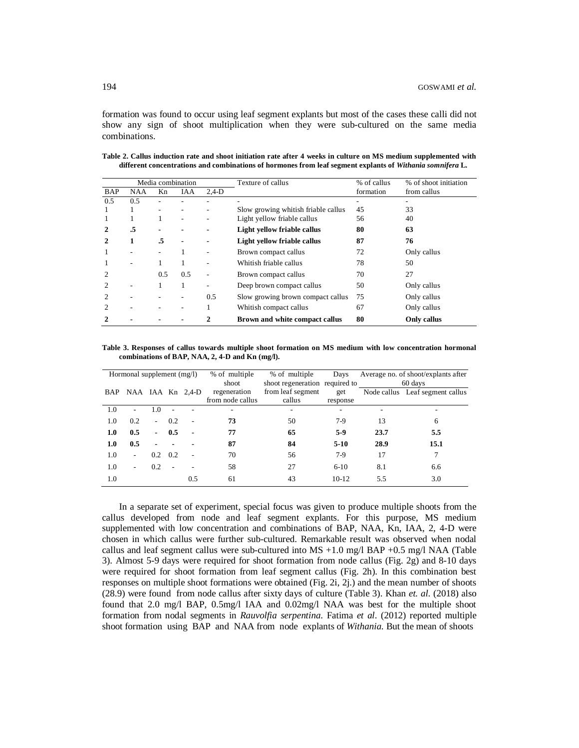formation was found to occur using leaf segment explants but most of the cases these calli did not show any sign of shoot multiplication when they were sub-cultured on the same media combinations.

| Media combination           |            |     |     |              | Texture of callus                   | % of callus | % of shoot initiation |
|-----------------------------|------------|-----|-----|--------------|-------------------------------------|-------------|-----------------------|
| <b>BAP</b>                  | <b>NAA</b> | Kn  | IAA | $2.4-D$      |                                     | formation   | from callus           |
| 0.5                         | 0.5        |     |     |              |                                     |             |                       |
|                             |            |     |     |              | Slow growing whitish friable callus | 45          | 33                    |
|                             |            |     |     |              | Light yellow friable callus         | 56          | 40                    |
| 2                           | .5         |     |     |              | Light yellow friable callus         | 80          | 63                    |
| $\mathbf{2}$                | 1          | .5  |     |              | Light yellow friable callus         | 87          | 76                    |
|                             |            |     |     |              | Brown compact callus                | 72          | Only callus           |
|                             |            |     |     |              | Whitish friable callus              | 78          | 50                    |
|                             |            | 0.5 | 0.5 |              | Brown compact callus                | 70          | 27                    |
| 2                           |            |     | 1   |              | Deep brown compact callus           | 50          | Only callus           |
| 2                           |            |     |     | 0.5          | Slow growing brown compact callus   | 75          | Only callus           |
| $\mathcal{D}_{\mathcal{L}}$ |            |     |     |              | Whitish compact callus              | 67          | Only callus           |
| 2                           |            |     |     | $\mathbf{2}$ | Brown and white compact callus      | 80          | Only callus           |

**Table 2. Callus induction rate and shoot initiation rate after 4 weeks in culture on MS medium supplemented with different concentrations and combinations of hormones from leaf segment explants of** *Withania somnifera* **L***.*

**Table 3. Responses of callus towards multiple shoot formation on MS medium with low concentration hormonal combinations of BAP, NAA, 2, 4-D and Kn (mg/l).**

| Hormonal supplement $(mg/l)$ |                              |                |                          | % of multiple  | % of multiple    | Days                           | Average no. of shoot/explants after |      |                                 |  |
|------------------------------|------------------------------|----------------|--------------------------|----------------|------------------|--------------------------------|-------------------------------------|------|---------------------------------|--|
|                              |                              |                |                          |                | shoot            | shoot regeneration required to |                                     |      | 60 days                         |  |
| BAP                          | NAA IAA Kn 2,4-D             |                |                          |                | regeneration     | from leaf segment              | get                                 |      | Node callus Leaf segment callus |  |
|                              |                              |                |                          |                | from node callus | callus                         | response                            |      |                                 |  |
| 1.0                          | ٠                            | 1.0            | $\overline{\phantom{a}}$ |                | ۰                |                                |                                     |      |                                 |  |
| 1.0                          | 0.2                          | $\sim$         | 0.2                      | $\overline{a}$ | 73               | 50                             | 7-9                                 | 13   | 6                               |  |
| 1.0                          | 0.5                          | $\blacksquare$ | 0.5                      | $\blacksquare$ | 77               | 65                             | $5-9$                               | 23.7 | 5.5                             |  |
| 1.0                          | 0.5                          | -              |                          |                | 87               | 84                             | $5-10$                              | 28.9 | 15.1                            |  |
| 1.0                          | $\qquad \qquad \blacksquare$ | 0.2            | 0.2                      | ٠              | 70               | 56                             | $7-9$                               | 17   | 7                               |  |
| 1.0                          | ۰                            | 0.2            | $\overline{\phantom{a}}$ | ٠              | 58               | 27                             | $6-10$                              | 8.1  | 6.6                             |  |
| 1.0                          |                              |                |                          | 0.5            | 61               | 43                             | $10-12$                             | 5.5  | 3.0                             |  |

In a separate set of experiment, special focus was given to produce multiple shoots from the callus developed from node and leaf segment explants. For this purpose, MS medium supplemented with low concentration and combinations of BAP, NAA, Kn, IAA, 2, 4-D were chosen in which callus were further sub-cultured. Remarkable result was observed when nodal callus and leaf segment callus were sub-cultured into MS +1.0 mg/l BAP +0.5 mg/l NAA (Table 3). Almost 5-9 days were required for shoot formation from node callus (Fig. 2g) and 8-10 days were required for shoot formation from leaf segment callus (Fig. 2h). In this combination best responses on multiple shoot formations were obtained (Fig. 2i, 2j.) and the mean number of shoots (28.9) were found from node callus after sixty days of culture (Table 3). Khan *et. al*. (2018) also found that 2.0 mg/l BAP, 0.5mg/l IAA and 0.02mg/l NAA was best for the multiple shoot formation from nodal segments in *Rauvolfia serpentina*. Fatima *et al*. (2012) reported multiple shoot formation using BAP and NAA from node explants of *Withania.* But the mean of shoots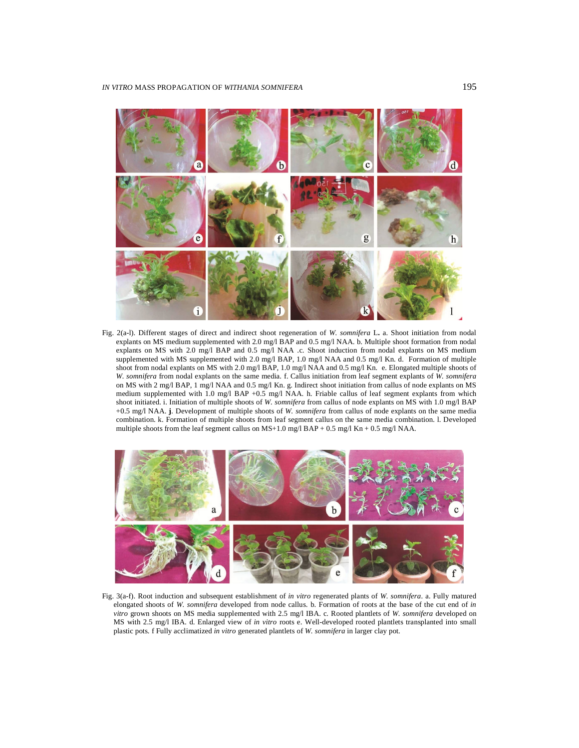

Fig. 2(a-l). Different stages of direct and indirect shoot regeneration of *W. somnifera* L**.** a. Shoot initiation from nodal explants on MS medium supplemented with 2.0 mg/l BAP and 0.5 mg/l NAA. b. Multiple shoot formation from nodal explants on MS with 2.0 mg/l BAP and 0.5 mg/l NAA .c. Shoot induction from nodal explants on MS medium supplemented with MS supplemented with 2.0 mg/l BAP, 1.0 mg/l NAA and 0.5 mg/l Kn. d. Formation of multiple shoot from nodal explants on MS with 2.0 mg/l BAP, 1.0 mg/l NAA and 0.5 mg/l Kn. e. Elongated multiple shoots of *W. somnifera* from nodal explants on the same media. f. Callus initiation from leaf segment explants of *W. somnifera*  on MS with 2 mg/l BAP, 1 mg/l NAA and 0.5 mg/l Kn. g. Indirect shoot initiation from callus of node explants on MS medium supplemented with 1.0 mg/l BAP +0.5 mg/l NAA. h. Friable callus of leaf segment explants from which shoot initiated. i. Initiation of multiple shoots of *W. somnifera* from callus of node explants on MS with 1.0 mg/l BAP +0.5 mg/l NAA. **j**. Development of multiple shoots of *W. somnifera* from callus of node explants on the same media combination. k. Formation of multiple shoots from leaf segment callus on the same media combination. l. Developed multiple shoots from the leaf segment callus on  $MS+1.0$  mg/l  $BAP + 0.5$  mg/l  $Kn + 0.5$  mg/l NAA.



Fig. 3(a-f). Root induction and subsequent establishment of *in vitro* regenerated plants of *W. somnifera*. a. Fully matured elongated shoots of *W. somnifera* developed from node callus. b. Formation of roots at the base of the cut end of *in vitro* grown shoots on MS media supplemented with 2.5 mg/l IBA. c. Rooted plantlets of *W. somnifera* developed on MS with 2.5 mg/l IBA. d. Enlarged view of *in vitro* roots e. Well-developed rooted plantlets transplanted into small plastic pots. f Fully acclimatized *in vitro* generated plantlets of *W. somnifera* in larger clay pot.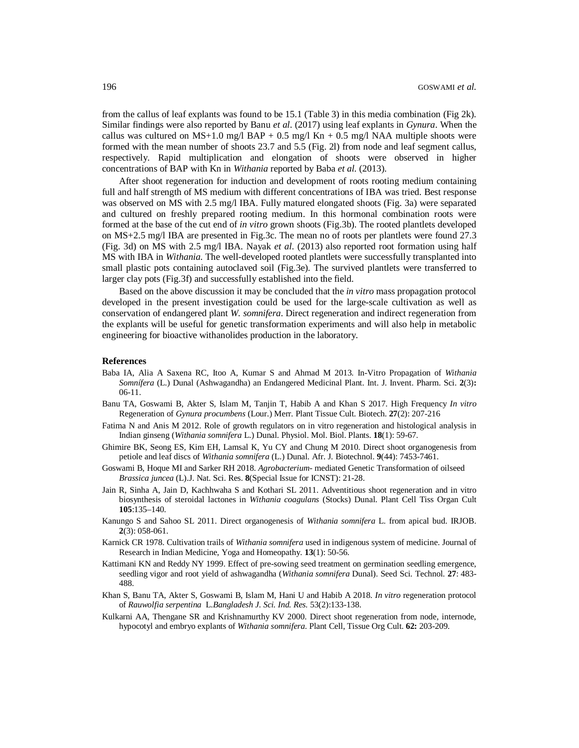from the callus of leaf explants was found to be 15.1 (Table 3) in this media combination (Fig 2k). Similar findings were also reported by Banu *et al*. (2017) using leaf explants in *Gynura*. When the callus was cultured on  $MS+1.0$  mg/l  $BAP + 0.5$  mg/l  $Kn + 0.5$  mg/l NAA multiple shoots were formed with the mean number of shoots 23.7 and 5.5 (Fig. 2l) from node and leaf segment callus, respectively. Rapid multiplication and elongation of shoots were observed in higher concentrations of BAP with Kn in *Withania* reported by Baba *et al.* (2013).

After shoot regeneration for induction and development of roots rooting medium containing full and half strength of MS medium with different concentrations of IBA was tried. Best response was observed on MS with 2.5 mg/l IBA. Fully matured elongated shoots (Fig. 3a) were separated and cultured on freshly prepared rooting medium. In this hormonal combination roots were formed at the base of the cut end of *in vitro* grown shoots (Fig.3b). The rooted plantlets developed on MS+2.5 mg/l IBA are presented in Fig.3c. The mean no of roots per plantlets were found 27.3 (Fig. 3d) on MS with 2.5 mg/l IBA. Nayak *et al*. (2013) also reported root formation using half MS with IBA in *Withania.* The well-developed rooted plantlets were successfully transplanted into small plastic pots containing autoclaved soil (Fig.3e). The survived plantlets were transferred to larger clay pots (Fig.3f) and successfully established into the field.

Based on the above discussion it may be concluded that the *in vitro* mass propagation protocol developed in the present investigation could be used for the large-scale cultivation as well as conservation of endangered plant *W. somnifera*. Direct regeneration and indirect regeneration from the explants will be useful for genetic transformation experiments and will also help in metabolic engineering for bioactive withanolides production in the laboratory.

#### **References**

- Baba IA, Alia A Saxena RC, Itoo A, Kumar S and Ahmad M 2013. In-Vitro Propagation of *Withania Somnífera* (L.) Dunal (Ashwagandha) an Endangered Medicinal Plant. Int. J. Invent. Pharm. Sci. **2**(3)**:** 06-11.
- Banu TA, Goswami B, Akter S, Islam M, Tanjin T, Habib A and Khan S 2017. High Frequency *In vitro*  Regeneration of *Gynura procumbens* (Lour.) Merr. Plant Tissue Cult. Biotech. **27**(2): 207‐216
- Fatima N and Anis M 2012. Role of growth regulators on in vitro regeneration and histological analysis in Indian ginseng (*Withania somnifera* L.) Dunal. Physiol. Mol. Biol. Plants. **18**(1): 59-67.
- Ghimire BK, Seong ES, Kim EH, Lamsal K, Yu CY and Chung M 2010. Direct shoot organogenesis from petiole and leaf discs of *Withania somnifera* (L.) Dunal. Afr. J. Biotechnol. **9**(44): 7453-7461.
- Goswami B, Hoque MI and Sarker RH 2018. *Agrobacterium* mediated Genetic Transformation of oilseed *Brassica juncea* (L).J. Nat. Sci. Res. **8**(Special Issue for ICNST): 21-28.
- Jain R, Sinha A, Jain D, Kachhwaha S and Kothari SL 2011. Adventitious shoot regeneration and in vitro biosynthesis of steroidal lactones in *Withania coagulans* (Stocks) Dunal. Plant Cell Tiss Organ Cult **105**:135–140.
- Kanungo S and Sahoo SL 2011. Direct organogenesis of *Withania somnifera* L. from apical bud. IRJOB. **2**(3): 058-061.
- Karnick CR 1978. Cultivation trails of *Withania somnifera* used in indigenous system of medicine. Journal of Research in Indian Medicine, Yoga and Homeopathy. **13**(1): 50-56.
- Kattimani KN and Reddy NY 1999. Effect of pre-sowing seed treatment on germination seedling emergence, seedling vigor and root yield of ashwagandha (*Withania somnifera* Dunal). Seed Sci. Technol. **27**: 483- 488.
- Khan S, Banu TA, Akter S, Goswami B, Islam M, Hani U and Habib A 2018. *In vitro* regeneration protocol of *Rauwolfia serpentina* L.*Bangladesh J. Sci. Ind. Res.* 53(2):133-138.
- Kulkarni AA, Thengane SR and Krishnamurthy KV 2000. Direct shoot regeneration from node, internode, hypocotyl and embryo explants of *Withania somnifera*. Plant Cell, Tissue Org Cult. **62:** 203-209.